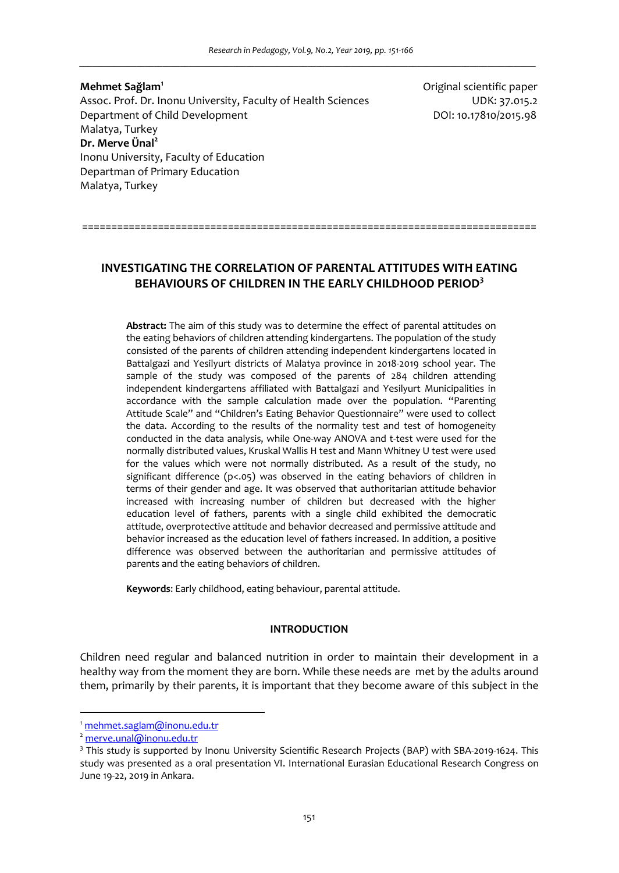**Mehmet Sağlam<sup>1</sup>** Assoc. Prof. Dr. Inonu University, Faculty of Health Sciences **UDK: 37.015.2** Department of Child Development DOI: 10.17810/2015.98 Malatya, Turkey **Dr. Merve Ünal<sup>2</sup>** Inonu University, Faculty of Education Departman of Primary Education Malatya, Turkey

Original scientific paper

==============================================================================

# **INVESTIGATING THE CORRELATION OF PARENTAL ATTITUDES WITH EATING BEHAVIOURS OF CHILDREN IN THE EARLY CHILDHOOD PERIOD<sup>3</sup>**

**Abstract:** The aim of this study was to determine the effect of parental attitudes on the eating behaviors of children attending kindergartens. The population of the study consisted of the parents of children attending independent kindergartens located in Battalgazi and Yesilyurt districts of Malatya province in 2018-2019 school year. The sample of the study was composed of the parents of 284 children attending independent kindergartens affiliated with Battalgazi and Yesilyurt Municipalities in accordance with the sample calculation made over the population. "Parenting Attitude Scale" and "Children's Eating Behavior Questionnaire" were used to collect the data. According to the results of the normality test and test of homogeneity conducted in the data analysis, while One-way ANOVA and t-test were used for the normally distributed values, Kruskal Wallis H test and Mann Whitney U test were used for the values which were not normally distributed. As a result of the study, no significant difference (p<.05) was observed in the eating behaviors of children in terms of their gender and age. It was observed that authoritarian attitude behavior increased with increasing number of children but decreased with the higher education level of fathers, parents with a single child exhibited the democratic attitude, overprotective attitude and behavior decreased and permissive attitude and behavior increased as the education level of fathers increased. In addition, a positive difference was observed between the authoritarian and permissive attitudes of parents and the eating behaviors of children.

**Keywords**: Early childhood, eating behaviour, parental attitude.

#### **INTRODUCTION**

Children need regular and balanced nutrition in order to maintain their development in a healthy way from the moment they are born. While these needs are met by the adults around them, primarily by their parents, it is important that they become aware of this subject in the

l

<sup>1</sup> mehmet.saglam@inonu.edu.tr

merve.unal@inonu.edu.tr

<sup>&</sup>lt;sup>3</sup> This study is supported by Inonu University Scientific Research Projects (BAP) with SBA-2019-1624. This study was presented as a oral presentation VI. International Eurasian Educational Research Congress on June 19-22, 2019 in Ankara.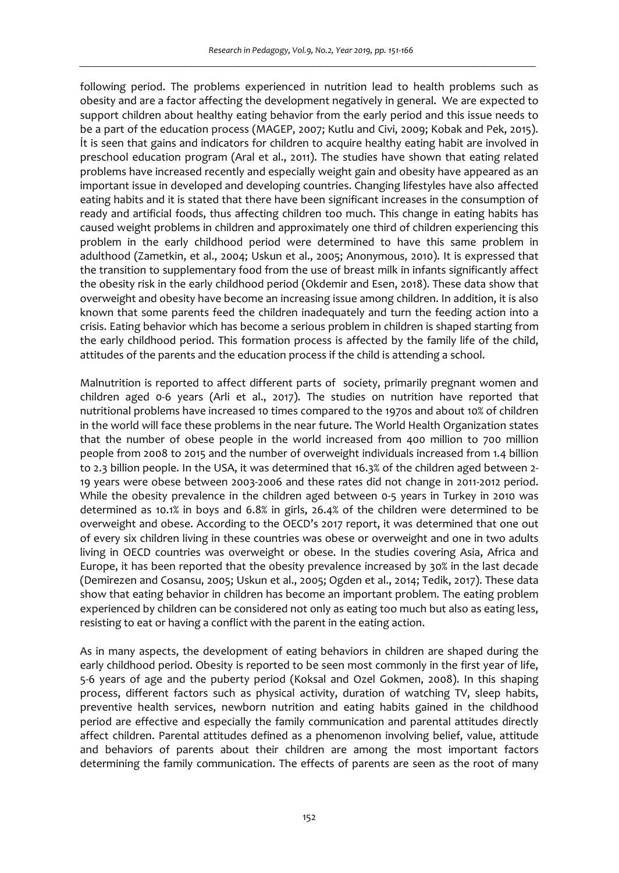following period. The problems experienced in nutrition lead to health problems such as obesity and are a factor affecting the development negatively in general. We are expected to support children about healthy eating behavior from the early period and this issue needs to be a part of the education process (MAGEP, 2007; Kutlu and Civi, 2009; Kobak and Pek, 2015). İt is seen that gains and indicators for children to acquire healthy eating habit are involved in preschool education program (Aral et al., 2011). The studies have shown that eating related problems have increased recently and especially weight gain and obesity have appeared as an important issue in developed and developing countries. Changing lifestyles have also affected eating habits and it is stated that there have been significant increases in the consumption of ready and artificial foods, thus affecting children too much. This change in eating habits has caused weight problems in children and approximately one third of children experiencing this problem in the early childhood period were determined to have this same problem in adulthood (Zametkin, et al., 2004; Uskun et al., 2005; Anonymous, 2010). It is expressed that the transition to supplementary food from the use of breast milk in infants significantly affect the obesity risk in the early childhood period (Okdemir and Esen, 2018). These data show that overweight and obesity have become an increasing issue among children. In addition, it is also known that some parents feed the children inadequately and turn the feeding action into a crisis. Eating behavior which has become a serious problem in children is shaped starting from the early childhood period. This formation process is affected by the family life of the child, attitudes of the parents and the education process if the child is attending a school.

Malnutrition is reported to affect different parts of society, primarily pregnant women and children aged 0-6 years (Arli et al., 2017). The studies on nutrition have reported that nutritional problems have increased 10 times compared to the 1970s and about 10% of children in the world will face these problems in the near future. The World Health Organization states that the number of obese people in the world increased from 400 million to 700 million people from 2008 to 2015 and the number of overweight individuals increased from 1.4 billion to 2.3 billion people. In the USA, it was determined that 16.3% of the children aged between 2- 19 years were obese between 2003-2006 and these rates did not change in 2011-2012 period. While the obesity prevalence in the children aged between 0-5 years in Turkey in 2010 was determined as 10.1% in boys and 6.8% in girls, 26.4% of the children were determined to be overweight and obese. According to the OECD's 2017 report, it was determined that one out of every six children living in these countries was obese or overweight and one in two adults living in OECD countries was overweight or obese. In the studies covering Asia, Africa and Europe, it has been reported that the obesity prevalence increased by 30% in the last decade (Demirezen and Cosansu, 2005; Uskun et al., 2005; Ogden et al., 2014; Tedik, 2017). These data show that eating behavior in children has become an important problem. The eating problem experienced by children can be considered not only as eating too much but also as eating less, resisting to eat or having a conflict with the parent in the eating action.

As in many aspects, the development of eating behaviors in children are shaped during the early childhood period. Obesity is reported to be seen most commonly in the first year of life, 5-6 years of age and the puberty period (Koksal and Ozel Gokmen, 2008). In this shaping process, different factors such as physical activity, duration of watching TV, sleep habits, preventive health services, newborn nutrition and eating habits gained in the childhood period are effective and especially the family communication and parental attitudes directly affect children. Parental attitudes defined as a phenomenon involving belief, value, attitude and behaviors of parents about their children are among the most important factors determining the family communication. The effects of parents are seen as the root of many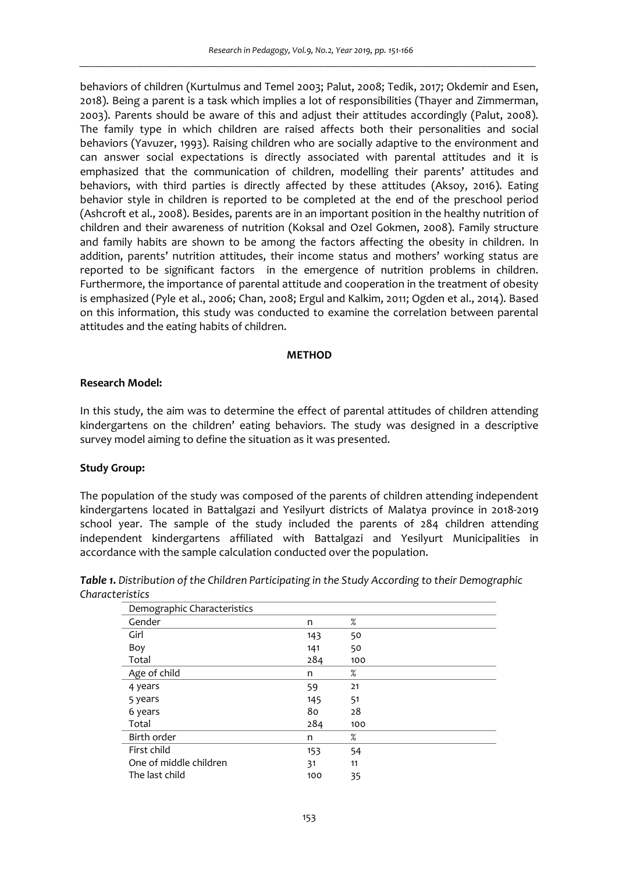behaviors of children (Kurtulmus and Temel 2003; Palut, 2008; Tedik, 2017; Okdemir and Esen, 2018). Being a parent is a task which implies a lot of responsibilities (Thayer and Zimmerman, 2003). Parents should be aware of this and adjust their attitudes accordingly (Palut, 2008). The family type in which children are raised affects both their personalities and social behaviors (Yavuzer, 1993). Raising children who are socially adaptive to the environment and can answer social expectations is directly associated with parental attitudes and it is emphasized that the communication of children, modelling their parents' attitudes and behaviors, with third parties is directly affected by these attitudes (Aksoy, 2016). Eating behavior style in children is reported to be completed at the end of the preschool period (Ashcroft et al., 2008). Besides, parents are in an important position in the healthy nutrition of children and their awareness of nutrition (Koksal and Ozel Gokmen, 2008). Family structure and family habits are shown to be among the factors affecting the obesity in children. In addition, parents' nutrition attitudes, their income status and mothers' working status are reported to be significant factors in the emergence of nutrition problems in children. Furthermore, the importance of parental attitude and cooperation in the treatment of obesity is emphasized (Pyle et al., 2006; Chan, 2008; Ergul and Kalkim, 2011; Ogden et al., 2014). Based on this information, this study was conducted to examine the correlation between parental attitudes and the eating habits of children.

#### **METHOD**

### **Research Model:**

In this study, the aim was to determine the effect of parental attitudes of children attending kindergartens on the children' eating behaviors. The study was designed in a descriptive survey model aiming to define the situation as it was presented.

### **Study Group:**

The population of the study was composed of the parents of children attending independent kindergartens located in Battalgazi and Yesilyurt districts of Malatya province in 2018-2019 school year. The sample of the study included the parents of 284 children attending independent kindergartens affiliated with Battalgazi and Yesilyurt Municipalities in accordance with the sample calculation conducted over the population.

*Table 1. Distribution of the Children Participating in the Study According to their Demographic Characteristics* 

| Demographic Characteristics |     |      |  |
|-----------------------------|-----|------|--|
| Gender                      | n   | %    |  |
| Girl                        | 143 | 50   |  |
| Boy                         | 141 | 50   |  |
| Total                       | 284 | 100  |  |
| Age of child                | n   | $\%$ |  |
| 4 years                     | 59  | 21   |  |
| 5 years                     | 145 | 51   |  |
| 6 years                     | 80  | 28   |  |
| Total                       | 284 | 100  |  |
| Birth order                 | n   | %    |  |
| First child                 | 153 | 54   |  |
| One of middle children      | 31  | 11   |  |
| The last child              | 100 | 35   |  |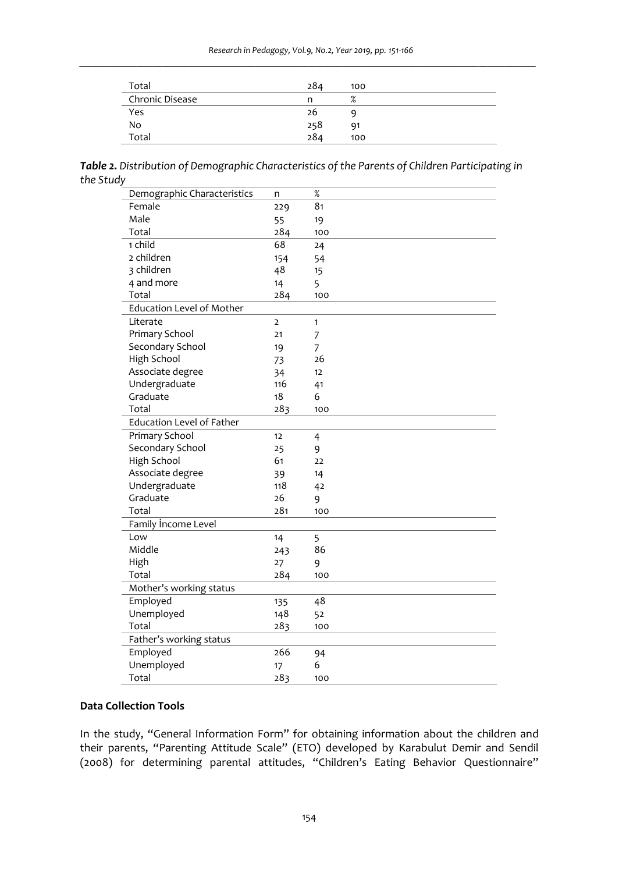| Total           | 284 | 100  |
|-----------------|-----|------|
| Chronic Disease | n   | $\%$ |
| Yes             | 26  |      |
| No              | 258 | 91   |
| Total           | 284 | 100  |

*Table 2. Distribution of Demographic Characteristics of the Parents of Children Participating in the Study* 

| Demographic Characteristics      | n   | $\%$         |
|----------------------------------|-----|--------------|
| Female                           | 229 | 81           |
| Male                             | 55  | 19           |
| Total                            | 284 | 100          |
| 1 child                          | 68  | 24           |
| 2 children                       | 154 | 54           |
| 3 children                       | 48  | 15           |
| 4 and more                       | 14  | 5            |
| Total                            | 284 | 100          |
| <b>Education Level of Mother</b> |     |              |
| Literate                         | 2   | $\mathbf{1}$ |
| Primary School                   | 21  | 7            |
| Secondary School                 | 19  | 7            |
| High School                      | 73  | 26           |
| Associate degree                 | 34  | 12           |
| Undergraduate                    | 116 | 41           |
| Graduate                         | 18  | 6            |
| Total                            | 283 | 100          |
| <b>Education Level of Father</b> |     |              |
| Primary School                   | 12  | 4            |
| Secondary School                 | 25  | 9            |
| High School                      | 61  | 22           |
| Associate degree                 | 39  | 14           |
| Undergraduate                    | 118 | 42           |
| Graduate                         | 26  | 9            |
| Total                            | 281 | 100          |
| Family Income Level              |     |              |
| Low                              | 14  | 5            |
| Middle                           | 243 | 86           |
| High                             | 27  | 9            |
| Total                            | 284 | 100          |
| Mother's working status          |     |              |
| Employed                         | 135 | 48           |
| Unemployed                       | 148 | 52           |
| Total                            | 283 | 100          |
| Father's working status          |     |              |
| Employed                         | 266 | 94           |
| Unemployed                       | 17  | 6            |
| Total                            | 283 | 100          |

## **Data Collection Tools**

In the study, "General Information Form" for obtaining information about the children and their parents, "Parenting Attitude Scale" (ETO) developed by Karabulut Demir and Sendil (2008) for determining parental attitudes, "Children's Eating Behavior Questionnaire"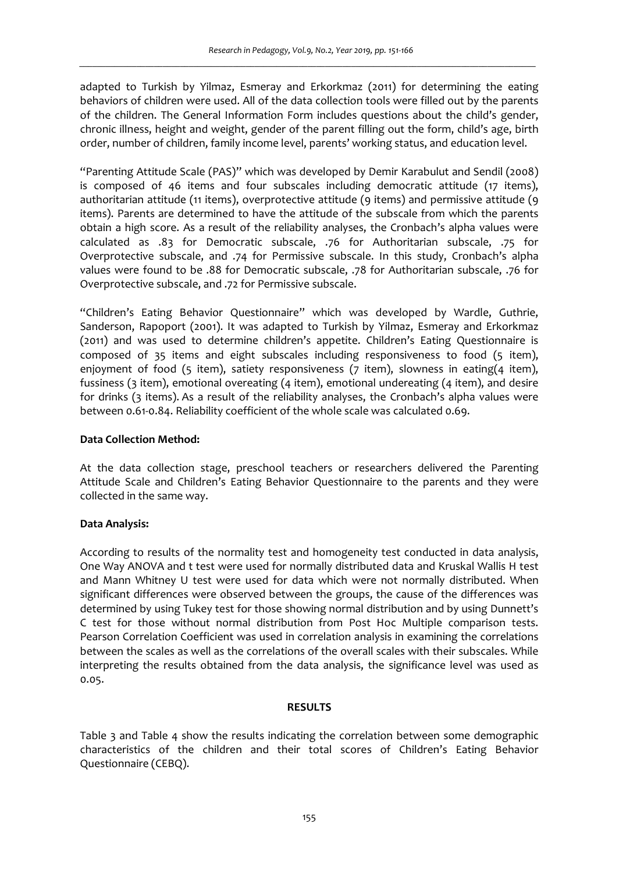adapted to Turkish by Yilmaz, Esmeray and Erkorkmaz (2011) for determining the eating behaviors of children were used. All of the data collection tools were filled out by the parents of the children. The General Information Form includes questions about the child's gender, chronic illness, height and weight, gender of the parent filling out the form, child's age, birth order, number of children, family income level, parents' working status, and education level.

"Parenting Attitude Scale (PAS)" which was developed by Demir Karabulut and Sendil (2008) is composed of 46 items and four subscales including democratic attitude (17 items), authoritarian attitude (11 items), overprotective attitude (9 items) and permissive attitude (9 items). Parents are determined to have the attitude of the subscale from which the parents obtain a high score. As a result of the reliability analyses, the Cronbach's alpha values were calculated as .83 for Democratic subscale, .76 for Authoritarian subscale, .75 for Overprotective subscale, and .74 for Permissive subscale. In this study, Cronbach's alpha values were found to be .88 for Democratic subscale, .78 for Authoritarian subscale, .76 for Overprotective subscale, and .72 for Permissive subscale.

"Children's Eating Behavior Questionnaire" which was developed by Wardle, Guthrie, Sanderson, Rapoport (2001). It was adapted to Turkish by Yilmaz, Esmeray and Erkorkmaz (2011) and was used to determine children's appetite. Children's Eating Questionnaire is composed of 35 items and eight subscales including responsiveness to food (5 item), enjoyment of food (5 item), satiety responsiveness (7 item), slowness in eating(4 item), fussiness (3 item), emotional overeating (4 item), emotional undereating (4 item), and desire for drinks (3 items). As a result of the reliability analyses, the Cronbach's alpha values were between 0.61-0.84. Reliability coefficient of the whole scale was calculated 0.69.

### **Data Collection Method:**

At the data collection stage, preschool teachers or researchers delivered the Parenting Attitude Scale and Children's Eating Behavior Questionnaire to the parents and they were collected in the same way.

### **Data Analysis:**

According to results of the normality test and homogeneity test conducted in data analysis, One Way ANOVA and t test were used for normally distributed data and Kruskal Wallis H test and Mann Whitney U test were used for data which were not normally distributed. When significant differences were observed between the groups, the cause of the differences was determined by using Tukey test for those showing normal distribution and by using Dunnett's C test for those without normal distribution from Post Hoc Multiple comparison tests. Pearson Correlation Coefficient was used in correlation analysis in examining the correlations between the scales as well as the correlations of the overall scales with their subscales. While interpreting the results obtained from the data analysis, the significance level was used as 0.05.

### **RESULTS**

Table 3 and Table 4 show the results indicating the correlation between some demographic characteristics of the children and their total scores of Children's Eating Behavior Questionnaire (CEBQ).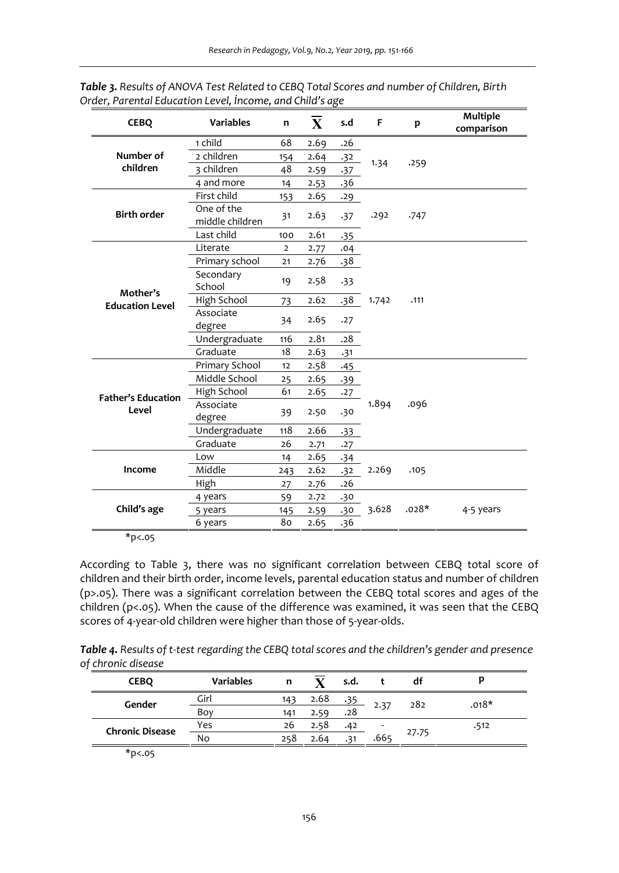| <b>CEBQ</b>               | <b>Variables</b>              | n              | $\overline{\mathbf{X}}$ | s.d   | F     | p       | <b>Multiple</b><br>comparison |
|---------------------------|-------------------------------|----------------|-------------------------|-------|-------|---------|-------------------------------|
|                           | 1 child                       | 68             | 2.69                    | .26   |       |         |                               |
| Number of                 | 2 children                    | 154            | 2.64                    | .32   | 1.34  | .259    |                               |
| children                  | 3 children                    | 48             | 2.59                    | $-37$ |       |         |                               |
|                           | 4 and more                    | 14             | 2.53                    | .36   |       |         |                               |
|                           | First child                   | 153            | 2.65                    | .29   |       |         |                               |
| <b>Birth order</b>        | One of the<br>middle children | 31             | 2.63                    | .37   | .292  | .747    |                               |
|                           | Last child                    | 100            | 2.61                    | .35   |       |         |                               |
|                           | Literate                      | $\overline{2}$ | 2.77                    | .04   |       |         |                               |
|                           | Primary school                | 21             | 2.76                    | .38   |       |         |                               |
| Mother's                  | Secondary<br>School           | 19             | 2.58                    | .33   |       |         |                               |
| <b>Education Level</b>    | High School                   | 73             | 2.62                    | .38   | 1.742 | .111    |                               |
|                           | Associate<br>degree           | 34             | 2.65                    | .27   |       |         |                               |
|                           | Undergraduate                 | 116            | 2.81                    | .28   |       |         |                               |
|                           | Graduate                      | 18             | 2.63                    | .31   |       |         |                               |
|                           | Primary School                | 12             | 2.58                    | .45   |       |         |                               |
|                           | Middle School                 | 25             | 2.65                    | .39   |       |         |                               |
| <b>Father's Education</b> | High School                   | 61             | 2.65                    | .27   |       |         |                               |
| Level                     | Associate<br>degree           | 39             | 2.50                    | .30   | 1.894 | .096    |                               |
|                           | Undergraduate                 | 118            | 2.66                    | $-33$ |       |         |                               |
|                           | Graduate                      | 26             | 2.71                    | .27   |       |         |                               |
|                           | Low                           | 14             | 2.65                    | -34   |       |         |                               |
| Income                    | Middle                        | 243            | 2.62                    | $-32$ | 2.269 | .105    |                               |
|                           | High                          | 27             | 2.76                    | .26   |       |         |                               |
|                           | 4 years                       | 59             | 2.72                    | .30   |       |         |                               |
| Child's age               | 5 years                       | 145            | 2.59                    | .30   | 3.628 | $.028*$ | 4-5 years                     |
|                           | 6 years                       | 80             | 2.65                    | .36   |       |         |                               |

*Table 3. Results of ANOVA Test Related to CEBQ Total Scores and number of Children, Birth Order, Parental Education Level, İncome, and Child's age* 

\*p<.05

According to Table 3, there was no significant correlation between CEBQ total score of children and their birth order, income levels, parental education status and number of children (p>.05). There was a significant correlation between the CEBQ total scores and ages of the children (p<.05). When the cause of the difference was examined, it was seen that the CEBQ scores of 4-year-old children were higher than those of 5-year-olds.

| Table 4. Results of t-test regarding the CEBQ total scores and the children's gender and presence |  |
|---------------------------------------------------------------------------------------------------|--|
| of chronic disease                                                                                |  |

| <b>CEBQ</b>            | <b>Variables</b> | n   |      | s.d. |      | đt    |         |
|------------------------|------------------|-----|------|------|------|-------|---------|
| Gender                 | Girl             | 143 | 2.68 | .35  | 2.37 | 282   | $.018*$ |
|                        | Boy              | 141 | 2.59 | .28  |      |       |         |
| <b>Chronic Disease</b> | Yes              | 26  | 2.58 | .42  |      |       | .512    |
|                        | No               | 258 | 2.64 | .31  | .665 | 27.75 |         |

\*p<.05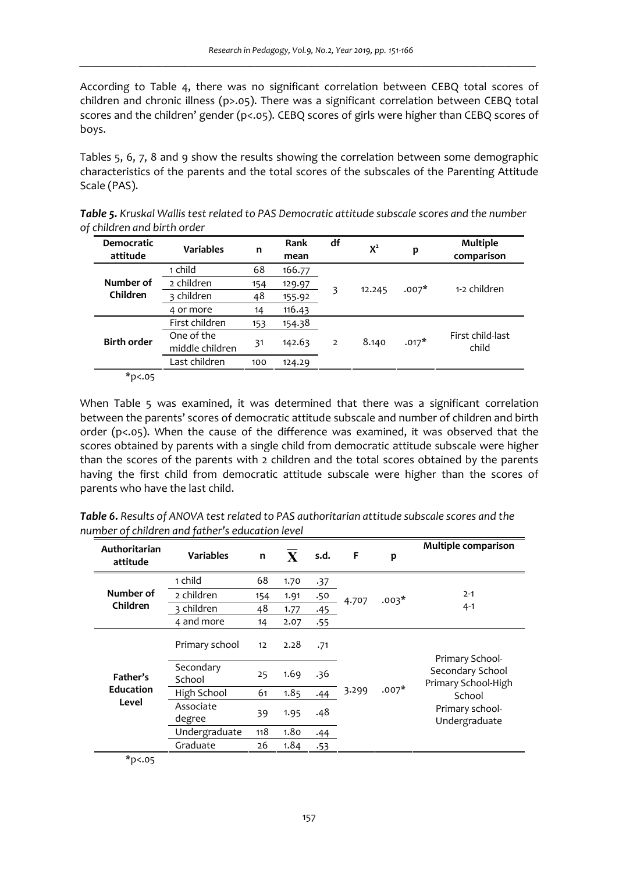According to Table 4, there was no significant correlation between CEBQ total scores of children and chronic illness (p>.05). There was a significant correlation between CEBQ total scores and the children' gender (p<.05). CEBQ scores of girls were higher than CEBQ scores of boys.

Tables 5, 6, 7, 8 and 9 show the results showing the correlation between some demographic characteristics of the parents and the total scores of the subscales of the Parenting Attitude Scale (PAS).

| <b>Democratic</b><br>attitude | <b>Variables</b>              | n   | Rank<br>mean | df | $X^2$  | p       | Multiple<br>comparison    |
|-------------------------------|-------------------------------|-----|--------------|----|--------|---------|---------------------------|
|                               | 1 child                       | 68  | 166.77       |    |        |         |                           |
| Number of                     | 2 children                    | 154 | 129.97       | 3  | 12.245 | $.007*$ | 1-2 children              |
| Children                      | 3 children                    | 48  | 155.92       |    |        |         |                           |
|                               | 4 or more                     | 14  | 116.43       |    |        |         |                           |
|                               | First children                | 153 | 154.38       |    |        |         |                           |
| <b>Birth order</b>            | One of the<br>middle children | 31  | 142.63       | 2  | 8.140  | $.017*$ | First child-last<br>child |
|                               | Last children                 | 100 | 124.29       |    |        |         |                           |

*Table 5. Kruskal Wallis test related to PAS Democratic attitude subscale scores and the number of children and birth order* 

 $\overline{*}$ p<.05

When Table 5 was examined, it was determined that there was a significant correlation between the parents' scores of democratic attitude subscale and number of children and birth order (p<.05). When the cause of the difference was examined, it was observed that the scores obtained by parents with a single child from democratic attitude subscale were higher than the scores of the parents with 2 children and the total scores obtained by the parents having the first child from democratic attitude subscale were higher than the scores of parents who have the last child.

| Authoritarian<br>attitude | <b>Variables</b>    | $\mathbf n$ | $\mathbf{X}$ | s.d. | F     | p       | Multiple comparison                     |
|---------------------------|---------------------|-------------|--------------|------|-------|---------|-----------------------------------------|
|                           | 1 child             | 68          | 1.70         | .37  |       |         |                                         |
| Number of                 | 2 children          | 154         | 1.91         | .50  | 4.707 | $.003*$ | $2 - 1$                                 |
| Children                  | 3 children          | 48          | 1.77         | .45  |       |         | $4 - 1$                                 |
|                           | 4 and more          | 14          | 2.07         | .55  |       |         |                                         |
|                           | Primary school      | 12          | 2.28         | .71  |       |         | Primary School-                         |
| Father's                  | Secondary<br>School | 25          | 1.69         | .36  |       |         | Secondary School<br>Primary School-High |
| <b>Education</b>          | High School         | 61          | 1.85         | .44  | 3.299 | $.007*$ | School                                  |
| Level                     | Associate<br>degree | 39          | 1.95         | .48  |       |         | Primary school-<br>Undergraduate        |
|                           | Undergraduate       | 118         | 1.80         | .44  |       |         |                                         |
|                           | Graduate            | 26          | 1.84         | .53  |       |         |                                         |

*Table 6. Results of ANOVA test related to PAS authoritarian attitude subscale scores and the number of children and father's education level* 

\*p<.05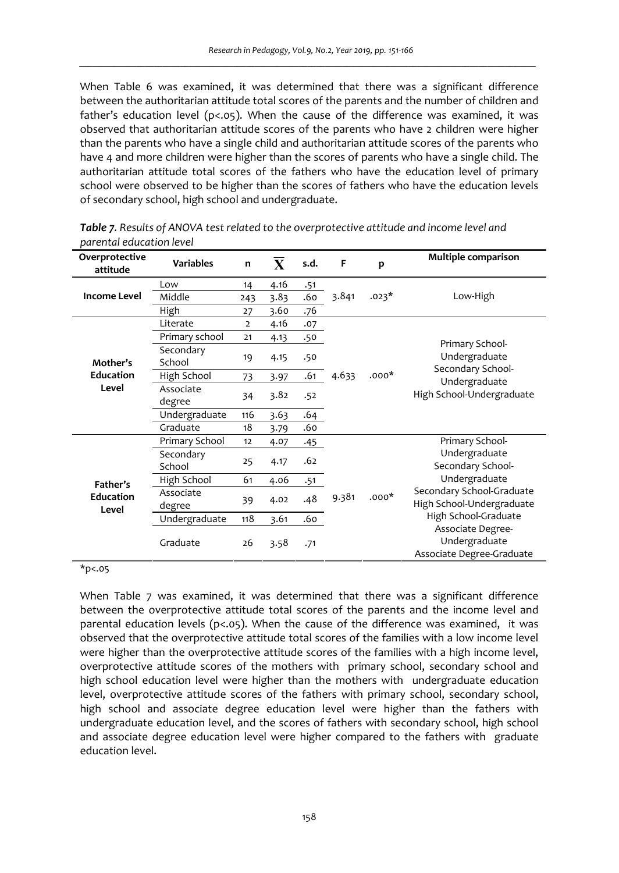When Table 6 was examined, it was determined that there was a significant difference between the authoritarian attitude total scores of the parents and the number of children and father's education level ( $p<0.05$ ). When the cause of the difference was examined, it was observed that authoritarian attitude scores of the parents who have 2 children were higher than the parents who have a single child and authoritarian attitude scores of the parents who have 4 and more children were higher than the scores of parents who have a single child. The authoritarian attitude total scores of the fathers who have the education level of primary school were observed to be higher than the scores of fathers who have the education levels of secondary school, high school and undergraduate.

| Overprotective<br>attitude | <b>Variables</b>    | n              | $\mathbf{X}$ | s.d. | F     | p       | Multiple comparison                                             |
|----------------------------|---------------------|----------------|--------------|------|-------|---------|-----------------------------------------------------------------|
|                            | Low                 | 14             | 4.16         | .51  |       |         |                                                                 |
| <b>Income Level</b>        | Middle              | 243            | 3.83         | .60  | 3.841 | $.023*$ | Low-High                                                        |
|                            | High                | 27             | 3.60         | .76  |       |         |                                                                 |
|                            | Literate            | $\overline{2}$ | 4.16         | .07  |       |         |                                                                 |
|                            | Primary school      | 21             | 4.13         | .50  |       |         |                                                                 |
| Mother's                   | Secondary<br>School | 19             | 4.15         | .50  |       |         | Primary School-<br>Undergraduate<br>Secondary School-           |
| <b>Education</b>           | High School         | 73             | 3.97         | .61  | 4.633 | $.000*$ | Undergraduate<br>High School-Undergraduate                      |
| Level                      | Associate<br>degree | 34             | 3.82         | .52  |       |         |                                                                 |
|                            | Undergraduate       | 116            | 3.63         | .64  |       |         |                                                                 |
|                            | Graduate            | 18             | 3.79         | .60  |       |         |                                                                 |
|                            | Primary School      | 12             | 4.07         | -45  |       |         | Primary School-                                                 |
|                            | Secondary<br>School | 25             | 4.17         | .62  |       |         | Undergraduate<br>Secondary School-                              |
| Father's                   | High School         | 61             | 4.06         | .51  |       |         | Undergraduate                                                   |
| <b>Education</b><br>Level  | Associate<br>degree | 39             | 4.02         | .48  | 9.381 | $000*$  | Secondary School-Graduate<br>High School-Undergraduate          |
|                            | Undergraduate       | 118            | 3.61         | .60  |       |         | High School-Graduate                                            |
|                            | Graduate            | 26             | 3.58         | .71  |       |         | Associate Degree-<br>Undergraduate<br>Associate Degree-Graduate |

*Table 7. Results of ANOVA test related to the overprotective attitude and income level and parental education level* 

\*p<.05

When Table 7 was examined, it was determined that there was a significant difference between the overprotective attitude total scores of the parents and the income level and parental education levels (p<.05). When the cause of the difference was examined, it was observed that the overprotective attitude total scores of the families with a low income level were higher than the overprotective attitude scores of the families with a high income level, overprotective attitude scores of the mothers with primary school, secondary school and high school education level were higher than the mothers with undergraduate education level, overprotective attitude scores of the fathers with primary school, secondary school, high school and associate degree education level were higher than the fathers with undergraduate education level, and the scores of fathers with secondary school, high school and associate degree education level were higher compared to the fathers with graduate education level.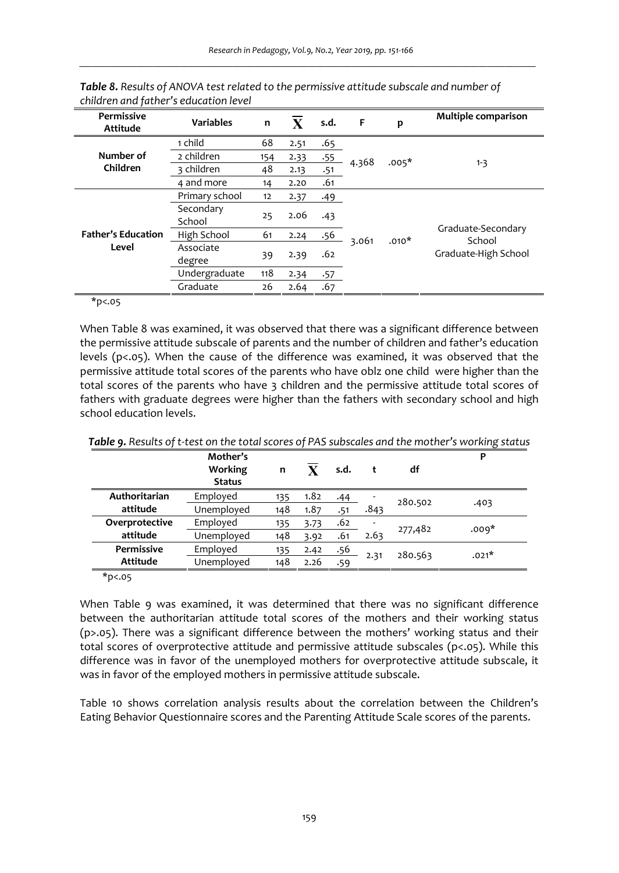| Permissive<br>Attitude    | <b>Variables</b>    | n   | $\mathbf{x}$ | s.d. | F     | p       | Multiple comparison          |
|---------------------------|---------------------|-----|--------------|------|-------|---------|------------------------------|
|                           | 1 child             | 68  | 2.51         | .65  |       |         |                              |
| Number of                 | 2 children          | 154 | 2.33         | .55  | 4.368 | $.005*$ |                              |
| Children                  | 3 children          | 48  | 2.13         | .51  |       |         | $1 - 3$                      |
|                           | 4 and more          | 14  | 2.20         | .61  |       |         |                              |
|                           | Primary school      | 12  | 2.37         | .49  |       |         |                              |
|                           | Secondary<br>School | 25  | 2.06         | .43  |       |         |                              |
| <b>Father's Education</b> | High School         | 61  | 2.24         | .56  |       | $.010*$ | Graduate-Secondary<br>School |
| Level                     | Associate<br>degree | 39  | 2.39         | .62  | 3.061 |         | Graduate-High School         |
|                           | Undergraduate       | 118 | 2.34         | .57  |       |         |                              |
|                           | Graduate            | 26  | 2.64         | .67  |       |         |                              |

*Table 8. Results of ANOVA test related to the permissive attitude subscale and number of children and father's education level* 

 $*p<.05$ 

When Table 8 was examined, it was observed that there was a significant difference between the permissive attitude subscale of parents and the number of children and father's education levels ( $p<0.05$ ). When the cause of the difference was examined, it was observed that the permissive attitude total scores of the parents who have oblz one child were higher than the total scores of the parents who have 3 children and the permissive attitude total scores of fathers with graduate degrees were higher than the fathers with secondary school and high school education levels.

|                          | Mother's<br>Working<br><b>Status</b> | n   |      | s.d. |      | df      |         |  |
|--------------------------|--------------------------------------|-----|------|------|------|---------|---------|--|
| Authoritarian            | Employed                             | 135 | 1.82 | .44  |      | 280.502 | .403    |  |
| attitude                 | Unemployed                           | 148 | 1.87 | .51  | .843 |         |         |  |
| Overprotective           | Employed                             | 135 | 3.73 | .62  |      | 277,482 | $.009*$ |  |
| attitude                 | Unemployed                           | 148 | 3.92 | .61  | 2.63 |         |         |  |
| Permissive               | Employed                             | 135 | 2.42 | .56  |      | 280.563 | $.021*$ |  |
| Attitude                 | Unemployed                           | 148 | 2.26 | .59  | 2.31 |         |         |  |
| $*$ $\sim$ $\sim$ $\sim$ |                                      |     |      |      |      |         |         |  |

*Table 9. Results of t-test on the total scores of PAS subscales and the mother's working status* 

\*p<.05

When Table 9 was examined, it was determined that there was no significant difference between the authoritarian attitude total scores of the mothers and their working status (p>.05). There was a significant difference between the mothers' working status and their total scores of overprotective attitude and permissive attitude subscales (p<.05). While this difference was in favor of the unemployed mothers for overprotective attitude subscale, it was in favor of the employed mothers in permissive attitude subscale.

Table 10 shows correlation analysis results about the correlation between the Children's Eating Behavior Questionnaire scores and the Parenting Attitude Scale scores of the parents.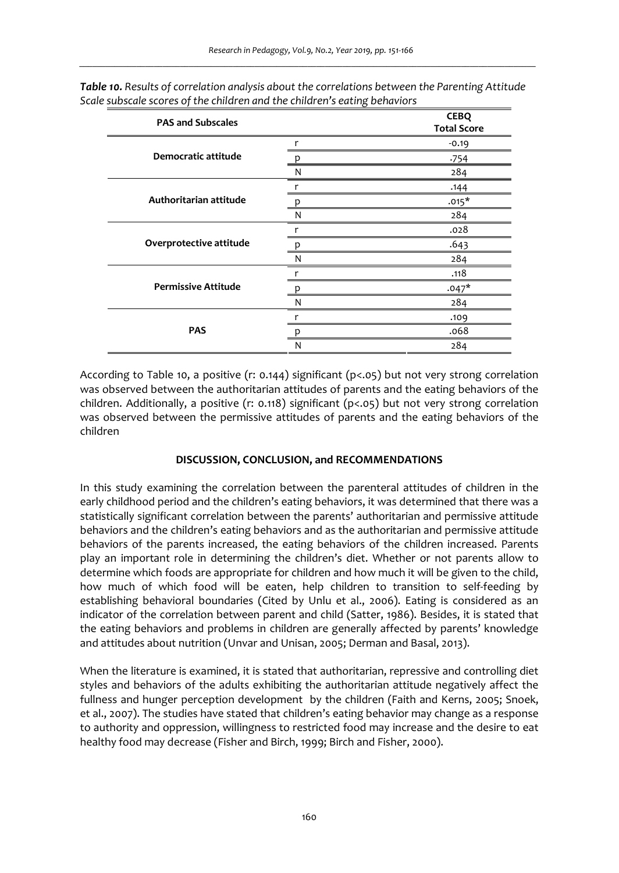| <b>PAS and Subscales</b>   |   | <b>CEBQ</b><br><b>Total Score</b> |
|----------------------------|---|-----------------------------------|
|                            | r | $-0.19$                           |
| Democratic attitude        |   | 754ء                              |
|                            | N | 284                               |
|                            |   | .144                              |
| Authoritarian attitude     | n | $.015*$                           |
|                            | N | 284                               |
|                            |   | .028                              |
| Overprotective attitude    |   | .643                              |
|                            | N | 284                               |
|                            |   | .118                              |
| <b>Permissive Attitude</b> | р | $.047*$                           |
|                            | N | 284                               |
|                            |   | .109                              |
| <b>PAS</b>                 |   | .068                              |
|                            | N | 284                               |

*Table 10. Results of correlation analysis about the correlations between the Parenting Attitude Scale subscale scores of the children and the children's eating behaviors* 

According to Table 10, a positive (r: 0.144) significant (p<.05) but not very strong correlation was observed between the authoritarian attitudes of parents and the eating behaviors of the children. Additionally, a positive (r: 0.118) significant ( $p<0.65$ ) but not very strong correlation was observed between the permissive attitudes of parents and the eating behaviors of the children

# **DISCUSSION, CONCLUSION, and RECOMMENDATIONS**

In this study examining the correlation between the parenteral attitudes of children in the early childhood period and the children's eating behaviors, it was determined that there was a statistically significant correlation between the parents' authoritarian and permissive attitude behaviors and the children's eating behaviors and as the authoritarian and permissive attitude behaviors of the parents increased, the eating behaviors of the children increased. Parents play an important role in determining the children's diet. Whether or not parents allow to determine which foods are appropriate for children and how much it will be given to the child, how much of which food will be eaten, help children to transition to self-feeding by establishing behavioral boundaries (Cited by Unlu et al., 2006). Eating is considered as an indicator of the correlation between parent and child (Satter, 1986). Besides, it is stated that the eating behaviors and problems in children are generally affected by parents' knowledge and attitudes about nutrition (Unvar and Unisan, 2005; Derman and Basal, 2013).

When the literature is examined, it is stated that authoritarian, repressive and controlling diet styles and behaviors of the adults exhibiting the authoritarian attitude negatively affect the fullness and hunger perception development by the children (Faith and Kerns, 2005; Snoek, et al., 2007). The studies have stated that children's eating behavior may change as a response to authority and oppression, willingness to restricted food may increase and the desire to eat healthy food may decrease (Fisher and Birch, 1999; Birch and Fisher, 2000).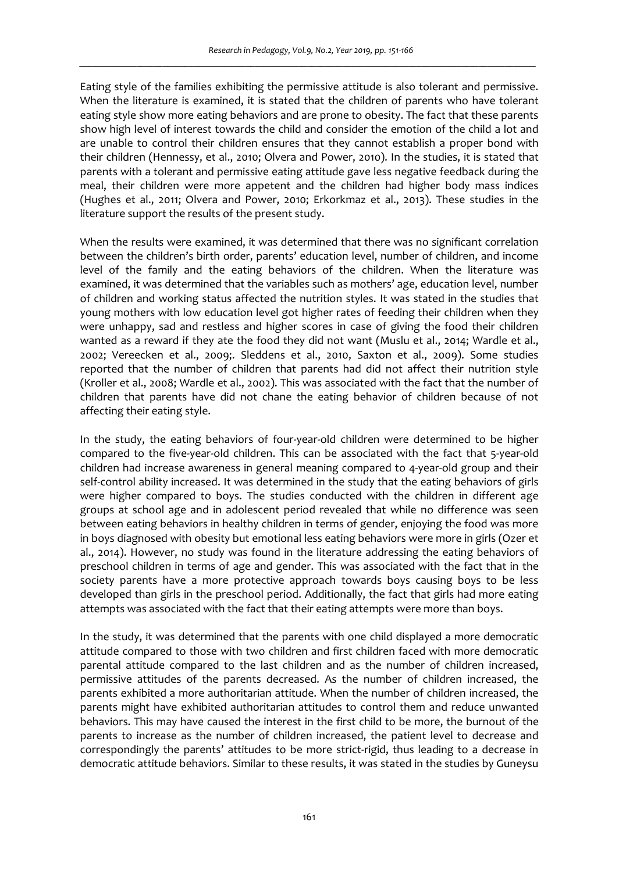Eating style of the families exhibiting the permissive attitude is also tolerant and permissive. When the literature is examined, it is stated that the children of parents who have tolerant eating style show more eating behaviors and are prone to obesity. The fact that these parents show high level of interest towards the child and consider the emotion of the child a lot and are unable to control their children ensures that they cannot establish a proper bond with their children (Hennessy, et al., 2010; Olvera and Power, 2010). In the studies, it is stated that parents with a tolerant and permissive eating attitude gave less negative feedback during the meal, their children were more appetent and the children had higher body mass indices (Hughes et al., 2011; Olvera and Power, 2010; Erkorkmaz et al., 2013). These studies in the literature support the results of the present study.

When the results were examined, it was determined that there was no significant correlation between the children's birth order, parents' education level, number of children, and income level of the family and the eating behaviors of the children. When the literature was examined, it was determined that the variables such as mothers' age, education level, number of children and working status affected the nutrition styles. It was stated in the studies that young mothers with low education level got higher rates of feeding their children when they were unhappy, sad and restless and higher scores in case of giving the food their children wanted as a reward if they ate the food they did not want (Muslu et al., 2014; Wardle et al., 2002; Vereecken et al., 2009;. Sleddens et al., 2010, Saxton et al., 2009). Some studies reported that the number of children that parents had did not affect their nutrition style (Kroller et al., 2008; Wardle et al., 2002). This was associated with the fact that the number of children that parents have did not chane the eating behavior of children because of not affecting their eating style.

In the study, the eating behaviors of four-year-old children were determined to be higher compared to the five-year-old children. This can be associated with the fact that 5-year-old children had increase awareness in general meaning compared to 4-year-old group and their self-control ability increased. It was determined in the study that the eating behaviors of girls were higher compared to boys. The studies conducted with the children in different age groups at school age and in adolescent period revealed that while no difference was seen between eating behaviors in healthy children in terms of gender, enjoying the food was more in boys diagnosed with obesity but emotional less eating behaviors were more in girls (Ozer et al., 2014). However, no study was found in the literature addressing the eating behaviors of preschool children in terms of age and gender. This was associated with the fact that in the society parents have a more protective approach towards boys causing boys to be less developed than girls in the preschool period. Additionally, the fact that girls had more eating attempts was associated with the fact that their eating attempts were more than boys.

In the study, it was determined that the parents with one child displayed a more democratic attitude compared to those with two children and first children faced with more democratic parental attitude compared to the last children and as the number of children increased, permissive attitudes of the parents decreased. As the number of children increased, the parents exhibited a more authoritarian attitude. When the number of children increased, the parents might have exhibited authoritarian attitudes to control them and reduce unwanted behaviors. This may have caused the interest in the first child to be more, the burnout of the parents to increase as the number of children increased, the patient level to decrease and correspondingly the parents' attitudes to be more strict-rigid, thus leading to a decrease in democratic attitude behaviors. Similar to these results, it was stated in the studies by Guneysu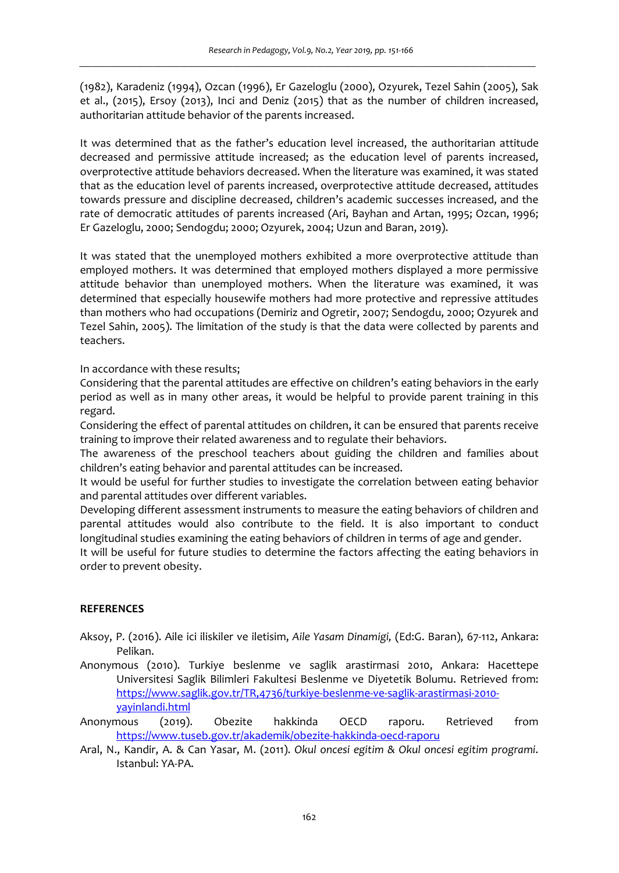(1982), Karadeniz (1994), Ozcan (1996), Er Gazeloglu (2000), Ozyurek, Tezel Sahin (2005), Sak et al., (2015), Ersoy (2013), Inci and Deniz (2015) that as the number of children increased, authoritarian attitude behavior of the parents increased.

It was determined that as the father's education level increased, the authoritarian attitude decreased and permissive attitude increased; as the education level of parents increased, overprotective attitude behaviors decreased. When the literature was examined, it was stated that as the education level of parents increased, overprotective attitude decreased, attitudes towards pressure and discipline decreased, children's academic successes increased, and the rate of democratic attitudes of parents increased (Ari, Bayhan and Artan, 1995; Ozcan, 1996; Er Gazeloglu, 2000; Sendogdu; 2000; Ozyurek, 2004; Uzun and Baran, 2019).

It was stated that the unemployed mothers exhibited a more overprotective attitude than employed mothers. It was determined that employed mothers displayed a more permissive attitude behavior than unemployed mothers. When the literature was examined, it was determined that especially housewife mothers had more protective and repressive attitudes than mothers who had occupations (Demiriz and Ogretir, 2007; Sendogdu, 2000; Ozyurek and Tezel Sahin, 2005). The limitation of the study is that the data were collected by parents and teachers.

In accordance with these results;

Considering that the parental attitudes are effective on children's eating behaviors in the early period as well as in many other areas, it would be helpful to provide parent training in this regard.

Considering the effect of parental attitudes on children, it can be ensured that parents receive training to improve their related awareness and to regulate their behaviors.

The awareness of the preschool teachers about guiding the children and families about children's eating behavior and parental attitudes can be increased.

It would be useful for further studies to investigate the correlation between eating behavior and parental attitudes over different variables.

Developing different assessment instruments to measure the eating behaviors of children and parental attitudes would also contribute to the field. It is also important to conduct longitudinal studies examining the eating behaviors of children in terms of age and gender.

It will be useful for future studies to determine the factors affecting the eating behaviors in order to prevent obesity.

# **REFERENCES**

- Aksoy, P. (2016). Aile ici iliskiler ve iletisim, *Aile Yasam Dinamigi,* (Ed:G. Baran), 67-112, Ankara: Pelikan.
- Anonymous (2010). Turkiye beslenme ve saglik arastirmasi 2010, Ankara: Hacettepe Universitesi Saglik Bilimleri Fakultesi Beslenme ve Diyetetik Bolumu. Retrieved from: https://www.saglik.gov.tr/TR,4736/turkiye-beslenme-ve-saglik-arastirmasi-2010 yayinlandi.html
- Anonymous (2019). Obezite hakkinda OECD raporu. Retrieved from https://www.tuseb.gov.tr/akademik/obezite-hakkinda-oecd-raporu
- Aral, N., Kandir, A. & Can Yasar, M. (2011). *Okul oncesi egitim & Okul oncesi egitim programi*. Istanbul: YA-PA.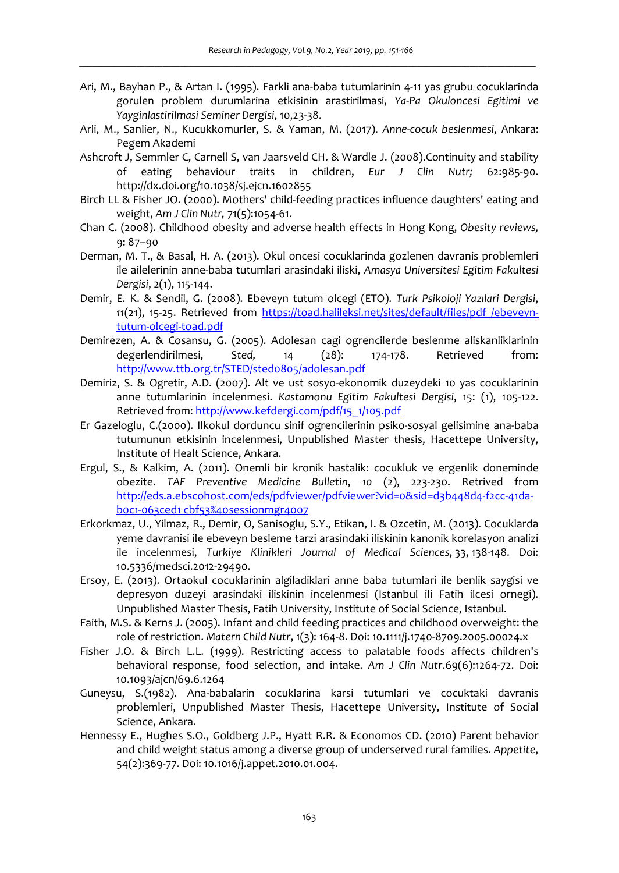- Ari, M., Bayhan P., & Artan I. (1995). Farkli ana-baba tutumlarinin 4-11 yas grubu cocuklarinda gorulen problem durumlarina etkisinin arastirilmasi, *Ya-Pa Okuloncesi Egitimi ve Yayginlastirilmasi Seminer Dergisi*, 10,23-38.
- Arli, M., Sanlier, N., Kucukkomurler, S. & Yaman, M. (2017). *Anne-cocuk beslenmesi*, Ankara: Pegem Akademi
- Ashcroft J, Semmler C, Carnell S, van Jaarsveld CH. & Wardle J. (2008).Continuity and stability of eating behaviour traits in children, *Eur J Clin Nutr;* 62:985-90. http://dx.doi.org/10.1038/sj.ejcn.1602855
- Birch LL & Fisher JO. (2000). Mothers' child-feeding practices influence daughters' eating and weight, *Am J Clin Nutr,* 71(5):1054-61.
- Chan C. (2008). Childhood obesity and adverse health effects in Hong Kong, *Obesity reviews,*  9: 87–90
- Derman, M. T., & Basal, H. A. (2013). Okul oncesi cocuklarinda gozlenen davranis problemleri ile ailelerinin anne-baba tutumlari arasindaki iliski, *Amasya Universitesi Egitim Fakultesi Dergisi*, 2(1), 115-144.
- Demir, E. K. & Sendil, G. (2008). Ebeveyn tutum olcegi (ETO). *Turk Psikoloji Yazılari Dergisi*, *11*(21), 15-25. Retrieved from https://toad.halileksi.net/sites/default/files/pdf /ebeveyntutum-olcegi-toad.pdf
- Demirezen, A. & Cosansu, G. (2005). Adolesan cagi ogrencilerde beslenme aliskanliklarinin degerlendirilmesi, S*ted,* 14 (28): 174-178. Retrieved from: http://www.ttb.org.tr/STED/sted0805/adolesan.pdf
- Demiriz, S. & Ogretir, A.D. (2007). Alt ve ust sosyo-ekonomik duzeydeki 10 yas cocuklarinin anne tutumlarinin incelenmesi. *Kastamonu Egitim Fakultesi Dergisi*, 15: (1), 105-122. Retrieved from: http://www.kefdergi.com/pdf/15\_1/105.pdf
- Er Gazeloglu, C.(2000). Ilkokul dorduncu sinif ogrencilerinin psiko-sosyal gelisimine ana-baba tutumunun etkisinin incelenmesi, Unpublished Master thesis, Hacettepe University, Institute of Healt Science, Ankara.
- Ergul, S., & Kalkim, A. (2011). Onemli bir kronik hastalik: cocukluk ve ergenlik doneminde obezite. *TAF Preventive Medicine Bulletin*, *10* (2), 223-230. Retrived from http://eds.a.ebscohost.com/eds/pdfviewer/pdfviewer?vid=0&sid=d3b448d4-f2cc-41dab0c1-063ced1 cbf53%40sessionmgr4007
- Erkorkmaz, U., Yilmaz, R., Demir, O, Sanisoglu, S.Y., Etikan, I. & Ozcetin, M. (2013). Cocuklarda yeme davranisi ile ebeveyn besleme tarzi arasindaki iliskinin kanonik korelasyon analizi ile incelenmesi, *Turkiye Klinikleri Journal of Medical Sciences*, 33, 138-148. Doi: 10.5336/medsci.2012-29490.
- Ersoy, E. (2013). Ortaokul cocuklarinin algiladiklari anne baba tutumlari ile benlik saygisi ve depresyon duzeyi arasindaki iliskinin incelenmesi (Istanbul ili Fatih ilcesi ornegi). Unpublished Master Thesis, Fatih University, Institute of Social Science, Istanbul.
- Faith, M.S. & Kerns J. (2005). Infant and child feeding practices and childhood overweight: the role of restriction. *Matern Child Nutr*, 1(3): 164-8. Doi: 10.1111/j.1740-8709.2005.00024.x
- Fisher J.O. & Birch L.L. (1999). Restricting access to palatable foods affects children's behavioral response, food selection, and intake. *Am J Clin Nutr*.69(6):1264-72. Doi: 10.1093/ajcn/69.6.1264
- Guneysu, S.(1982). Ana-babalarin cocuklarina karsi tutumlari ve cocuktaki davranis problemleri, Unpublished Master Thesis, Hacettepe University, Institute of Social Science, Ankara.
- Hennessy E., Hughes S.O., Goldberg J.P., Hyatt R.R. & Economos CD. (2010) Parent behavior and child weight status among a diverse group of underserved rural families. *Appetite*, 54(2):369-77. Doi: 10.1016/j.appet.2010.01.004.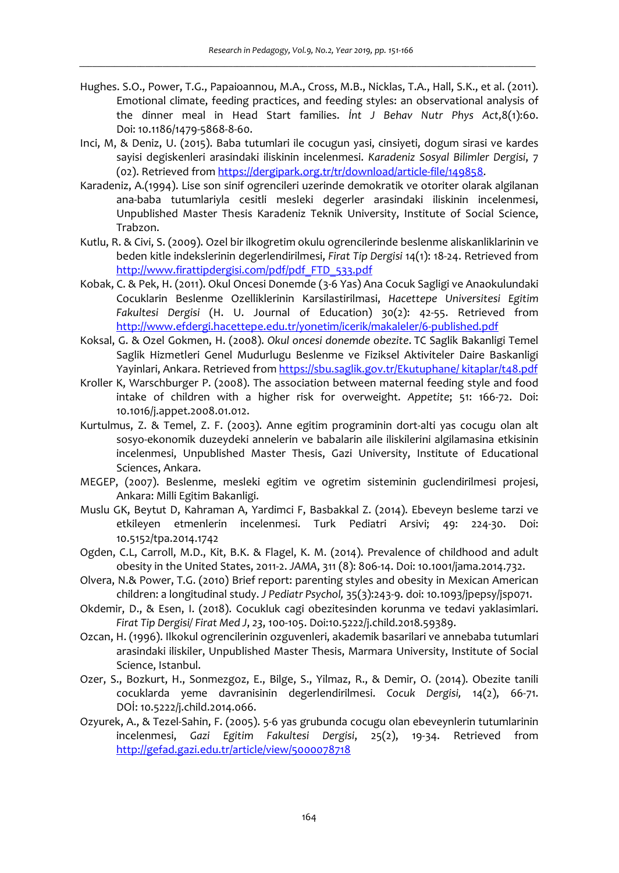- Hughes. S.O., Power, T.G., Papaioannou, M.A., Cross, M.B., Nicklas, T.A., Hall, S.K., et al. (2011). Emotional climate, feeding practices, and feeding styles: an observational analysis of the dinner meal in Head Start families. *İnt J Behav Nutr Phys Act*,8(1):60. Doi: 10.1186/1479-5868-8-60.
- Inci, M, & Deniz, U. (2015). Baba tutumlari ile cocugun yasi, cinsiyeti, dogum sirasi ve kardes sayisi degiskenleri arasindaki iliskinin incelenmesi. *Karadeniz Sosyal Bilimler Dergisi*, 7 (02). Retrieved from https://dergipark.org.tr/tr/download/article-file/149858.
- Karadeniz, A.(1994). Lise son sinif ogrencileri uzerinde demokratik ve otoriter olarak algilanan ana-baba tutumlariyla cesitli mesleki degerler arasindaki iliskinin incelenmesi, Unpublished Master Thesis Karadeniz Teknik University, Institute of Social Science, Trabzon.
- Kutlu, R. & Civi, S. (2009). Ozel bir ilkogretim okulu ogrencilerinde beslenme aliskanliklarinin ve beden kitle indekslerinin degerlendirilmesi, *Firat Tip Dergisi* 14(1): 18-24. Retrieved from http://www.firattipdergisi.com/pdf/pdf\_FTD\_533.pdf
- Kobak, C. & Pek, H. (2011). Okul Oncesi Donemde (3-6 Yas) Ana Cocuk Sagligi ve Anaokulundaki Cocuklarin Beslenme Ozelliklerinin Karsilastirilmasi, *Hacettepe Universitesi Egitim Fakultesi Dergisi* (H. U. Journal of Education) 30(2): 42-55. Retrieved from http://www.efdergi.hacettepe.edu.tr/yonetim/icerik/makaleler/6-published.pdf
- Koksal, G. & Ozel Gokmen, H. (2008). *Okul oncesi donemde obezite*. TC Saglik Bakanligi Temel Saglik Hizmetleri Genel Mudurlugu Beslenme ve Fiziksel Aktiviteler Daire Baskanligi Yayinlari, Ankara. Retrieved from https://sbu.saglik.gov.tr/Ekutuphane/ kitaplar/t48.pdf
- Kroller K, Warschburger P. (2008). The association between maternal feeding style and food intake of children with a higher risk for overweight. *Appetite*; 51: 166-72. Doi: 10.1016/j.appet.2008.01.012.
- Kurtulmus, Z. & Temel, Z. F. (2003). Anne egitim programinin dort-alti yas cocugu olan alt sosyo-ekonomik duzeydeki annelerin ve babalarin aile iliskilerini algilamasina etkisinin incelenmesi, Unpublished Master Thesis, Gazi University, Institute of Educational Sciences, Ankara.
- MEGEP, (2007). Beslenme, mesleki egitim ve ogretim sisteminin guclendirilmesi projesi, Ankara: Milli Egitim Bakanligi.
- Muslu GK, Beytut D, Kahraman A, Yardimci F, Basbakkal Z. (2014). Ebeveyn besleme tarzi ve etkileyen etmenlerin incelenmesi. Turk Pediatri Arsivi; 49: 224-30. Doi: 10.5152/tpa.2014.1742
- Ogden, C.L, Carroll, M.D., Kit, B.K. & Flagel, K. M. (2014). Prevalence of childhood and adult obesity in the United States, 2011-2. *JAMA*, 311 (8): 806-14. Doi: 10.1001/jama.2014.732.
- Olvera, N.& Power, T.G. (2010) Brief report: parenting styles and obesity in Mexican American children: a longitudinal study. *J Pediatr Psychol,* 35(3):243-9. doi: 10.1093/jpepsy/jsp071.
- Okdemir, D., & Esen, I. (2018). Cocukluk cagi obezitesinden korunma ve tedavi yaklasimlari. *Firat Tip Dergisi/ Firat Med J*, *23*, 100-105. Doi:10.5222/j.child.2018.59389.
- Ozcan, H. (1996). Ilkokul ogrencilerinin ozguvenleri, akademik basarilari ve annebaba tutumlari arasindaki iliskiler, Unpublished Master Thesis, Marmara University, Institute of Social Science, Istanbul.
- Ozer, S., Bozkurt, H., Sonmezgoz, E., Bilge, S., Yilmaz, R., & Demir, O. (2014). Obezite tanili cocuklarda yeme davranisinin degerlendirilmesi. *Cocuk Dergisi,* 14(2), 66-71. DOİ: 10.5222/j.child.2014.066.
- Ozyurek, A., & Tezel-Sahin, F. (2005). 5-6 yas grubunda cocugu olan ebeveynlerin tutumlarinin incelenmesi, *Gazi Egitim Fakultesi Dergisi*, 25(2), 19-34. Retrieved from http://gefad.gazi.edu.tr/article/view/5000078718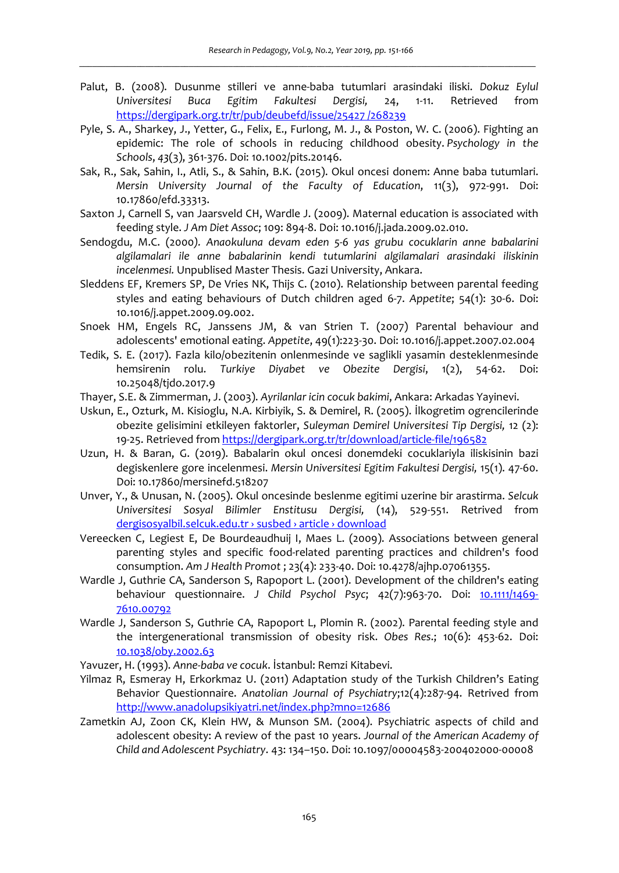- Palut, B. (2008). Dusunme stilleri ve anne-baba tutumlari arasindaki iliski. *Dokuz Eylul Universitesi Buca Egitim Fakultesi Dergisi,* 24, 1-11. Retrieved from https://dergipark.org.tr/tr/pub/deubefd/issue/25427 /268239
- Pyle, S. A., Sharkey, J., Yetter, G., Felix, E., Furlong, M. J., & Poston, W. C. (2006). Fighting an epidemic: The role of schools in reducing childhood obesity. *Psychology in the Schools*, *43*(3), 361-376. Doi: 10.1002/pits.20146.
- Sak, R., Sak, Sahin, I., Atli, S., & Sahin, B.K. (2015). Okul oncesi donem: Anne baba tutumlari. *Mersin University Journal of the Faculty of Education*, 11(3), 972-991. Doi: 10.17860/efd.33313.
- Saxton J, Carnell S, van Jaarsveld CH, Wardle J. (2009). Maternal education is associated with feeding style. *J Am Diet Assoc*; 109: 894-8. Doi: 10.1016/j.jada.2009.02.010.
- Sendogdu, M.C. (2000*). Anaokuluna devam eden 5-6 yas grubu cocuklarin anne babalarini algilamalari ile anne babalarinin kendi tutumlarini algilamalari arasindaki iliskinin incelenmesi.* Unpublised Master Thesis. Gazi University, Ankara.
- Sleddens EF, Kremers SP, De Vries NK, Thijs C. (2010). Relationship between parental feeding styles and eating behaviours of Dutch children aged 6-7. *Appetite*; 54(1): 30-6. Doi: 10.1016/j.appet.2009.09.002.
- Snoek HM, Engels RC, Janssens JM, & van Strien T. (2007) Parental behaviour and adolescents' emotional eating. *Appetite*, 49(1):223-30. Doi: 10.1016/j.appet.2007.02.004
- Tedik, S. E. (2017). Fazla kilo/obezitenin onlenmesinde ve saglikli yasamin desteklenmesinde hemsirenin rolu. *Turkiye Diyabet ve Obezite Dergisi*, 1(2), 54-62. Doi: 10.25048/tjdo.2017.9
- Thayer, S.E. & Zimmerman, J. (2003). *Ayrilanlar icin cocuk bakimi*, Ankara: Arkadas Yayinevi.
- Uskun, E., Ozturk, M. Kisioglu, N.A. Kirbiyik, S. & Demirel, R. (2005). İlkogretim ogrencilerinde obezite gelisimini etkileyen faktorler, *Suleyman Demirel Universitesi Tip Dergisi,* 12 (2): 19-25. Retrieved from https://dergipark.org.tr/tr/download/article-file/196582
- Uzun, H. & Baran, G. (2019). Babalarin okul oncesi donemdeki cocuklariyla iliskisinin bazi degiskenlere gore incelenmesi. *Mersin Universitesi Egitim Fakultesi Dergisi,* 15(1). 47-60. Doi: 10.17860/mersinefd.518207
- Unver, Y., & Unusan, N. (2005). Okul oncesinde beslenme egitimi uzerine bir arastirma. *Selcuk Universitesi Sosyal Bilimler Enstitusu Dergisi,* (14), 529-551. Retrived from dergisosyalbil.selcuk.edu.tr › susbed › article › download
- Vereecken C, Legiest E, De Bourdeaudhuij I, Maes L. (2009). Associations between general parenting styles and specific food-related parenting practices and children's food consumption. *Am J Health Promot* ; 23(4): 233-40. Doi: 10.4278/ajhp.07061355.
- Wardle J, Guthrie CA, Sanderson S, Rapoport L. (2001). Development of the children's eating behaviour questionnaire. *J Child Psychol Psyc*; 42(7):963-70. Doi: 10.1111/1469- 7610.00792
- Wardle J, Sanderson S, Guthrie CA, Rapoport L, Plomin R. (2002). Parental feeding style and the intergenerational transmission of obesity risk. *Obes Res*.; 10(6): 453-62. Doi: 10.1038/oby.2002.63
- Yavuzer, H. (1993). *Anne-baba ve cocuk*. İstanbul: Remzi Kitabevi.
- Yilmaz R, Esmeray H, Erkorkmaz U. (2011) Adaptation study of the Turkish Children's Eating Behavior Questionnaire. *Anatolian Journal of Psychiatry*;12(4):287-94. Retrived from http://www.anadolupsikiyatri.net/index.php?mno=12686
- Zametkin AJ, Zoon CK, Klein HW, & Munson SM. (2004). Psychiatric aspects of child and adolescent obesity: A review of the past 10 years. *Journal of the American Academy of Child and Adolescent Psychiatry*. 43: 134–150. Doi: 10.1097/00004583-200402000-00008